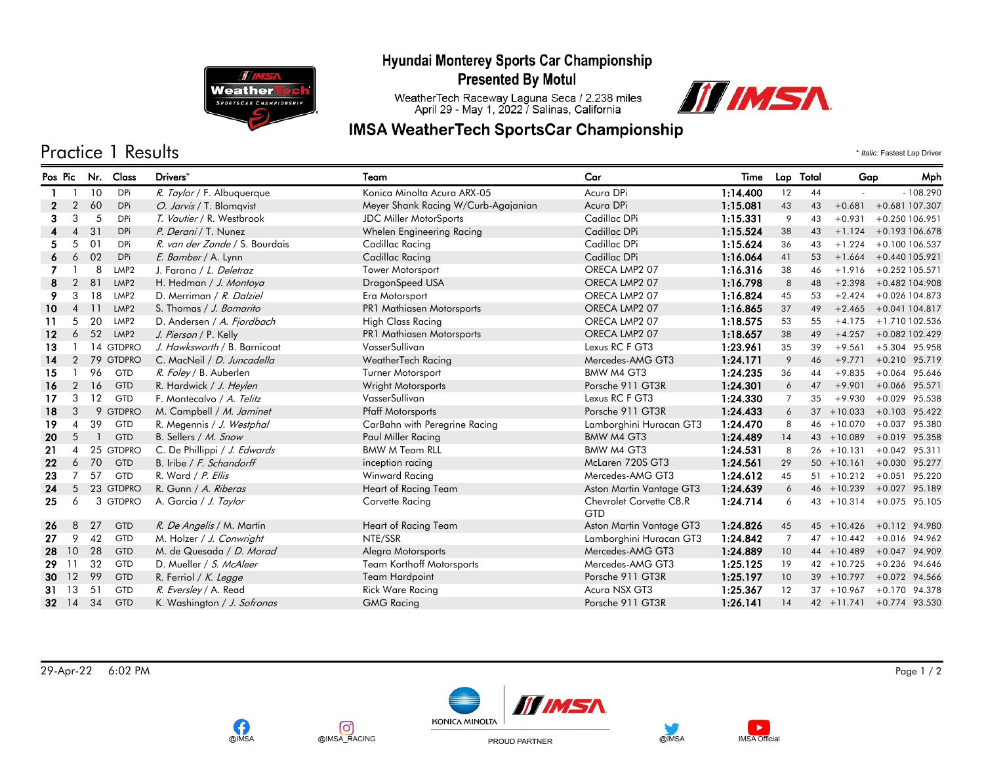

**T Weather SPORTSCAR CHAMPIONSHIP** 

# **Presented By Motul**

WeatherTech Raceway Laguna Seca / 2.238 miles<br>April 29 - May 1, 2022 / Salinas, California

### **IMSA WeatherTech SportsCar Championship**



Practice 1 Results \* *Italic:* Fastest Lap Driver

| Pos Pic      |                | Nr. | Class            | Drivers*                       | Team                                | Car                                   | Time     |                | Lap Total | Gap           | Mph                      |
|--------------|----------------|-----|------------------|--------------------------------|-------------------------------------|---------------------------------------|----------|----------------|-----------|---------------|--------------------------|
|              |                | 10  | <b>DPi</b>       | R. Taylor / F. Albuquerque     | Konica Minolta Acura ARX-05         | Acura DPi                             | 1:14.400 | 12             | 44        |               | $-108.290$               |
| $\mathbf{z}$ | $\overline{2}$ | 60  | <b>DPi</b>       | O. Jarvis / T. Blomqvist       | Meyer Shank Racing W/Curb-Agajanian | Acura DPi                             | 1:15.081 | 43             | 43        | $+0.681$      | +0.681 107.307           |
| 3            | 3              | 5   | <b>DPi</b>       | T. Vautier / R. Westbrook      | JDC Miller MotorSports              | Cadillac DPi                          | 1:15.331 | 9              | 43        | $+0.931$      | $+0.250$ 106.951         |
|              | 4              | 31  | <b>DPi</b>       | P. Derani / T. Nunez           | Whelen Engineering Racing           | Cadillac DPi                          | 1:15.524 | 38             | 43        | $+1.124$      | +0.193 106.678           |
| 5.           | 5              | 01  | <b>DPi</b>       | R. van der Zande / S. Bourdais | Cadillac Racing                     | Cadillac DPi                          | 1:15.624 | 36             | 43        | $+1.224$      | $+0.100106.537$          |
| 6.           | 6              | 02  | <b>DPi</b>       | E. Bamber / A. Lynn            | Cadillac Racing                     | Cadillac DPi                          | 1:16.064 | 41             | 53        | $+1.664$      | +0.440 105.921           |
|              |                | 8   | LMP <sub>2</sub> | J. Farano / L. Deletraz        | Tower Motorsport                    | ORECA LMP2 07                         | 1:16.316 | 38             | 46        | $+1.916$      | $+0.252$ 105.571         |
|              | 2              | 81  | LMP <sub>2</sub> | H. Hedman / J. Montoya         | DragonSpeed USA                     | ORECA LMP2 07                         | 1:16.798 | 8              | 48        | $+2.398$      | +0.482 104.908           |
| 9            | 3              | 18  | LMP <sub>2</sub> | D. Merriman / R. Dalziel       | Era Motorsport                      | ORECA LMP2 07                         | 1:16.824 | 45             | 53        | $+2.424$      | $+0.026$ 104.873         |
| 10           | 4              | 11  | LMP <sub>2</sub> | S. Thomas / J. Bomarito        | PR1 Mathiasen Motorsports           | ORECA LMP2 07                         | 1:16.865 | 37             | 49        | $+2.465$      | +0.041 104.817           |
| 11           | 5              | 20  | LMP <sub>2</sub> | D. Andersen / A. Fjordbach     | <b>High Class Racing</b>            | ORECA LMP2 07                         | 1:18.575 | 53             | 55        | $+4.175$      | +1.710 102.536           |
| $12 \,$      | 6              | 52  | LMP <sub>2</sub> | J. Pierson / P. Kelly          | PR1 Mathiasen Motorsports           | ORECA LMP2 07                         | 1:18.657 | 38             | 49        | $+4.257$      | +0.082 102.429           |
| 13           |                |     | 14 GTDPRO        | J. Hawksworth / B. Barnicoat   | VasserSullivan                      | Lexus RC F GT3                        | 1:23.961 | 35             | 39        | $+9.561$      | $+5.304$ 95.958          |
| 14           | 2              |     | 79 GTDPRO        | C. MacNeil / D. Juncadella     | WeatherTech Racing                  | Mercedes-AMG GT3                      | 1:24.171 | 9              | 46        | $+9.771$      | $+0.210$ 95.719          |
| 15           |                | 96  | <b>GTD</b>       | R. Foley / B. Auberlen         | Turner Motorsport                   | BMW M4 GT3                            | 1:24.235 | 36             | 44        | $+9.835$      | $+0.064$ 95.646          |
| 16           | $\overline{2}$ | 16  | GTD              | R. Hardwick / J. Heylen        | Wright Motorsports                  | Porsche 911 GT3R                      | 1:24.301 | 6              | 47        | $+9.901$      | $+0.066$ 95.571          |
| 17           | 3              | 12  | GTD              | F. Montecalvo / A. Telitz      | VasserSullivan                      | Lexus RC F GT3                        | 1:24.330 | $\overline{7}$ | 35        | $+9.930$      | $+0.029$ 95.538          |
| 18           | 3              |     | 9 GTDPRO         | M. Campbell / M. Jaminet       | <b>Pfaff Motorsports</b>            | Porsche 911 GT3R                      | 1:24.433 | 6              |           | $37 + 10.033$ | $+0.103$ 95.422          |
| 19           | 4              | 39  | <b>GTD</b>       | R. Megennis / J. Westphal      | CarBahn with Peregrine Racing       | Lamborghini Huracan GT3               | 1:24.470 | 8              |           | $46 + 10.070$ | $+0.037$ 95.380          |
| 20           | -5             |     | <b>GTD</b>       | B. Sellers / M. Snow           | Paul Miller Racing                  | BMW M4 GT3                            | 1:24.489 | 14             |           | $43 + 10.089$ | +0.019 95.358            |
| -21          | $\overline{A}$ | 25  | <b>GTDPRO</b>    | C. De Phillippi / J. Edwards   | <b>BMW M Team RLL</b>               | BMW M4 GT3                            | 1:24.531 | 8              |           | $26 + 10.131$ | $+0.042$ 95.311          |
| 22           | 6              | 70  | GTD              | B. Iribe / F. Schandorff       | inception racing                    | McLaren 720S GT3                      | 1:24.561 | 29             |           | $50 + 10.161$ | $+0.030$ 95.277          |
| 23           |                | 57  | <b>GTD</b>       | R. Ward / P. Ellis             | Winward Racing                      | Mercedes-AMG GT3                      | 1:24.612 | 45             |           | $51 + 10.212$ | $+0.051$ 95.220          |
| 24           | 5              |     | 23 GTDPRO        | R. Gunn / A. Riberas           | Heart of Racing Team                | Aston Martin Vantage GT3              | 1:24.639 | 6              |           | $46 + 10.239$ | $+0.027$ 95.189          |
| 25           | 6              |     | 3 GTDPRO         | A. Garcia / J. Taylor          | Corvette Racing                     | Chevrolet Corvette C8.R<br><b>GTD</b> | 1:24.714 | 6              |           | $43 + 10.314$ | $+0.075$ 95.105          |
| 26           | 8              | 27  | GTD              | R. De Angelis / M. Martin      | Heart of Racing Team                | Aston Martin Vantage GT3              | 1:24.826 | 45             |           | $45 + 10.426$ | $+0.112$ 94.980          |
| 27           | 9              | 42  | <b>GTD</b>       | M. Holzer / J. Conwright       | NTE/SSR                             | Lamborghini Huracan GT3               | 1:24.842 | $\overline{7}$ |           | $47 + 10.442$ | $+0.016$ 94.962          |
| 28           | 10             | 28  | <b>GTD</b>       | M. de Quesada / D. Morad       | Alegra Motorsports                  | Mercedes-AMG GT3                      | 1:24.889 | 10             |           | $44 + 10.489$ | $+0.047$ 94.909          |
| 29           | -11            | 32  | <b>GTD</b>       | D. Mueller / S. McAleer        | <b>Team Korthoff Motorsports</b>    | Mercedes-AMG GT3                      | 1:25.125 | 19             |           | $42 + 10.725$ | $+0.236$ 94.646          |
| 30 12        |                | 99  | GTD              | R. Ferriol / K. Legge          | Team Hardpoint                      | Porsche 911 GT3R                      | 1:25.197 | 10             |           | $39 + 10.797$ | $+0.072$ 94.566          |
| 31           | -13            | 51  | GTD              | R. Eversley / A. Read          | <b>Rick Ware Racing</b>             | Acura NSX GT3                         | 1:25.367 | 12             |           | $37 + 10.967$ | $+0.170$ 94.378          |
| 32 14        |                | 34  | <b>GTD</b>       | K. Washington / J. Sofronas    | <b>GMG Racing</b>                   | Porsche 911 GT3R                      | 1:26.141 | 14             |           |               | 42 +11.741 +0.774 93.530 |

29-Apr-22 6:02 PM Page 1 / 2



രി

@IMSA\_RACING

G

@IMSA